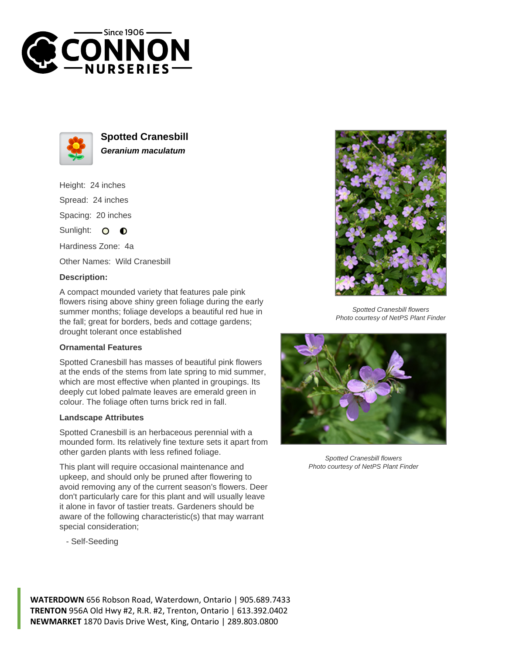



**Spotted Cranesbill Geranium maculatum**

Height: 24 inches Spread: 24 inches Spacing: 20 inches Sunlight: O **O** Hardiness Zone: 4a

Other Names: Wild Cranesbill

## **Description:**

A compact mounded variety that features pale pink flowers rising above shiny green foliage during the early summer months; foliage develops a beautiful red hue in the fall; great for borders, beds and cottage gardens; drought tolerant once established

## **Ornamental Features**

Spotted Cranesbill has masses of beautiful pink flowers at the ends of the stems from late spring to mid summer, which are most effective when planted in groupings. Its deeply cut lobed palmate leaves are emerald green in colour. The foliage often turns brick red in fall.

## **Landscape Attributes**

Spotted Cranesbill is an herbaceous perennial with a mounded form. Its relatively fine texture sets it apart from other garden plants with less refined foliage.

This plant will require occasional maintenance and upkeep, and should only be pruned after flowering to avoid removing any of the current season's flowers. Deer don't particularly care for this plant and will usually leave it alone in favor of tastier treats. Gardeners should be aware of the following characteristic(s) that may warrant special consideration;

- Self-Seeding



Spotted Cranesbill flowers Photo courtesy of NetPS Plant Finder



Spotted Cranesbill flowers Photo courtesy of NetPS Plant Finder

**WATERDOWN** 656 Robson Road, Waterdown, Ontario | 905.689.7433 **TRENTON** 956A Old Hwy #2, R.R. #2, Trenton, Ontario | 613.392.0402 **NEWMARKET** 1870 Davis Drive West, King, Ontario | 289.803.0800